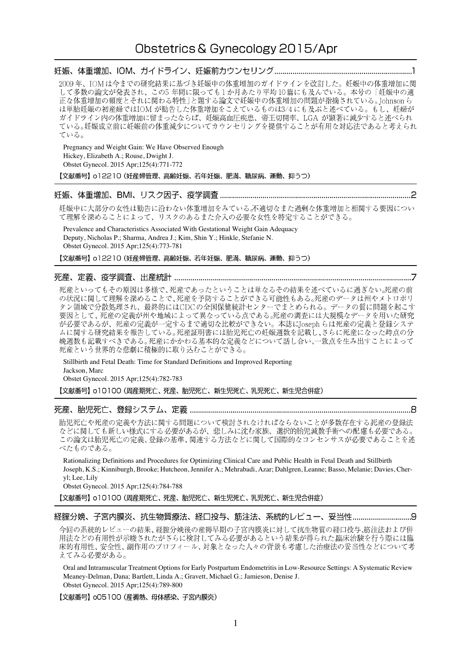妊娠、体重増加、IOM、ガイドライン、妊娠前カウンセリング…………………………………………………………………1

2009年、IOMは今までの研究結果に基づき妊娠中の体重増加のガイドラインを改訂した。妊娠中の体重増加に関 して多数の論文が発表され、この5年間に限っても1か月あたり平均10篇にも及んでいる。本号の「妊娠中の適 正な体重増加の頻度とそれに関わる特性」と題する論文で妊娠中の体重増加の問題が指摘されている。Johnsonら は単胎妊娠の初産婦ではIOMが勧告した体重増加をこえているものは3/4にも及ぶと述べている。もし、妊婦が ガイドライン内の体重増加に留まったならば、妊娠高血圧疾患、帝王切開率、LGA が顕著に減少すると述べられ ている。妊娠成立前に妊娠前の体重減少についてカウンセリングを提供することが有用な対応法であると考えられ ている。

Pregnancy and Weight Gain: We Have Observed Enough Hickey, Elizabeth A.; Rouse, Dwight J. Obstet Gynecol. 2015 Apr;125(4):771-772

【文献番号】 o12210 (妊産婦管理、高齢妊娠、若年妊娠、肥満、糖尿病、運動、抑うつ)

#### 

妊娠中に大部分の女性は勧告に沿わない体重増加をみている。不適切なまた過剰な体重増加と相関する要因につい て理解を深めることによって、リスクのあるまた介入の必要な女性を特定することができる。

Prevalence and Characteristics Associated With Gestational Weight Gain Adequacy Deputy, Nicholas P.; Sharma, Andrea J.; Kim, Shin Y.; Hinkle, Stefanie N. Obstet Gynecol. 2015 Apr;125(4):773-781

【文献番号】 o12210 (妊産婦管理、高齢妊娠、若年妊娠、肥満、糖尿病、運動、抑うつ)

#### 

死産といってもその原因は多様で、死産であったということは単なるその結果を述べているに過ぎない。死産の前 の状況に関して理解を深めることで、死産を予防することができる可能性もある。死産のデータは州やメトロポリ タン領域で分散処理され、最終的にはCDCの全国保健統計センターでまとめられる。データの質に問題を起こす 要因として、死産の定義が州や地域によって異なっている点である。死産の調査には大規模なデータを用いた研究 が必要であるが、死産の定義が一定するまで適切な比較ができない。本誌にIoseph らは死産の定義と登録システ ムに関する研究結果を報告している。死産証明書には胎児死亡の妊娠週数を記載し、さらに死産になった時点の分 娩週数も記載すべきである。死産にかかわる基本的な定義などについて話し合い、一致点を生み出すことによって 死産という世界的な悲劇に積極的に取り込むことができる。

Stillbirth and Fetal Death: Time for Standard Definitions and Improved Reporting Jackson, Marc Obstet Gynecol. 2015 Apr;125(4):782-783

【文献番号】 o10100 (周産期死亡、死産、胎児死亡、新生児死亡、乳児死亡、新生児合併症)

胎児死亡や死産の定義や方法に関する問題について検討されなければならないことが多数存在する死産の登録法 などに関しても新しい様式にする必要があるが、悲しみに沈む家族、選択的胎児減数手術への配慮も必要である。 この論文は胎児死亡の定義、登録の基準、関連する方法などに関して国際的なコンセンサスが必要であることを述 べたものである。

Rationalizing Definitions and Procedures for Optimizing Clinical Care and Public Health in Fetal Death and Stillbirth Joseph, K.S.; Kinniburgh, Brooke; Hutcheon, Jennifer A.; Mehrabadi, Azar; Dahlgren, Leanne; Basso, Melanie; Davies, Cheryl; Lee, Lily

Obstet Gynecol. 2015 Apr;125(4):784-788

【文献番号】 o 1 0 1 0 0 (周産期死亡、死産、胎児死亡、新生児死亡、乳児死亡、新生児合併症)

今回の系統的レビューの結果、経腟分娩後の産褥早期の子宮内膜炎に対して抗生物質の経口投与、筋注法および併 用法などの有用性が示唆されたがさらに検討してみる必要があるという結果が得られた臨床治験を行う際には臨 床的有用性、安全性、副作用のプロフィール、対象となった人々の背景も考慮した治療法の妥当性などについて考 えてみる必要がある。

Oral and Intramuscular Treatment Options for Early Postpartum Endometritis in Low-Resource Settings: A Systematic Review Meaney-Delman, Dana; Bartlett, Linda A.; Gravett, Michael G.; Jamieson, Denise J. Obstet Gynecol. 2015 Apr;125(4):789-800

【文献番号】 005100 (産褥熱、母体感染、子宮内膜炎)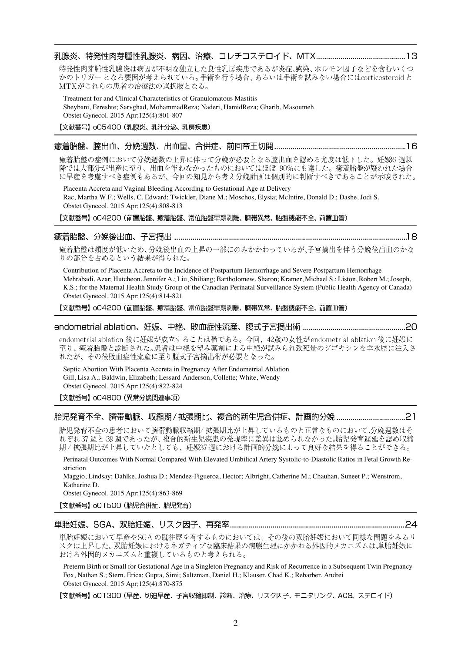### 

特発性肉芽腫性乳腺炎は病因が不明な独立した良性乳房疾患であるが炎症、感染、ホルモン因子などを含むいくつ かのトリガーとなる要因が考えられている。手術を行う場合、あるいは手術を試みない場合にはcorticosteroidと MTXがこれらの患者の治療法の選択肢となる。

Treatment for and Clinical Characteristics of Granulomatous Mastitis Sheybani, Fereshte; Sarvghad, MohammadReza; Naderi, HamidReza; Gharib, Masoumeh Obstet Gynecol. 2015 Apr;125(4):801-807

【文献番号】 005400 (乳腺炎、乳汁分泌、乳房疾患)

### 

癒着胎盤の症例において分娩週数の上昇に伴って分娩が必要となる腟出血を認める尤度は低下した。妊娠6週以 降では大部分が出産に至り、出血を伴わなかったものにおいてはほぼ 90%にも達した。癒着胎盤が疑われた場合 に早産を考慮すべき症例もあるが、今回の知見から考え分娩計画は個別的に判断すべきであることが示唆された。

Placenta Accreta and Vaginal Bleeding According to Gestational Age at Delivery Rac, Martha W.F.; Wells, C. Edward; Twickler, Diane M.; Moschos, Elysia; McIntire, Donald D.; Dashe, Jodi S. Obstet Gynecol. 2015 Apr;125(4):808-813

【文献番号】oO4200 (前置胎盤、癒着胎盤、常位胎盤早期剥離、臍帯異常、胎盤機能不全、前置血管)

### 

癒着胎盤は頻度が低いため、分娩後出血の上昇の一部にのみかかわっているが、子宮摘出を伴う分娩後出血のかな りの部分を占めるという結果が得られた。

Contribution of Placenta Accreta to the Incidence of Postpartum Hemorrhage and Severe Postpartum Hemorrhage Mehrabadi, Azar; Hutcheon, Jennifer A.; Liu, Shiliang; Bartholomew, Sharon; Kramer, Michael S.; Liston, Robert M.; Joseph, K.S.; for the Maternal Health Study Group of the Canadian Perinatal Surveillance System (Public Health Agency of Canada) Obstet Gynecol. 2015 Apr;125(4):814-821

【文献番号】oO4200 (前置胎盤、癒着胎盤、常位胎盤早期剥離、臍帯異常、胎盤機能不全、前置血管)

#### 

endometrial ablation 後に妊娠が成立することは稀である。今回、42歳の女性がendometrial ablation 後に妊娠に 至り、癒着胎盤と診断された。患者は中絶を望み薬剤による中絶が試みられ致死量のジゴキシンを羊水腔に注入さ れたが、その後敗血症性流産に至り腹式子宮摘出術が必要となった。

Septic Abortion With Placenta Accreta in Pregnancy After Endometrial Ablation Gill, Lisa A.; Baldwin, Elizabeth; Lessard-Anderson, Collette; White, Wendy Obstet Gynecol. 2015 Apr;125(4):822-824

【文献番号】 oO4800 (異常分娩関連事項)

#### 

胎児発育不全の患者において臍帯動脈収縮期/拡張期比が上昇しているものと正常なものにおいて、分娩週数はそ れぞれ37週と39週であったが、複合的新生児疾患の発現率に差異は認められなかった。胎児発育遅延を認め収縮 期/拡張期比が上昇していたとしても、妊娠37週における計画的分娩によって良好な結果を得ることができる。

Perinatal Outcomes With Normal Compared With Elevated Umbilical Artery Systolic-to-Diastolic Ratios in Fetal Growth Restriction

Maggio, Lindsay; Dahlke, Joshua D.; Mendez-Figueroa, Hector; Albright, Catherine M.; Chauhan, Suneet P.; Wenstrom, Katharine D.

Obstet Gynecol. 2015 Apr;125(4):863-869

【文献番号】 oO1500 (胎児合併症、胎児発育)

#### 単胎奷娠、SGA、双胎奷娠、リスク因子、再発率……………………………………………………………………………………24

単胎妊娠において早産やSGA の既往歴を有するものにおいては、その後の双胎妊娠において同様な問題をみるリ スクは上昇した。双胎妊娠におけるネガティブな臨床結果の病態生理にかかわる外因的メカニズムは、単胎妊娠に おける外因的メカニズムと重複しているものと考えられる。

Preterm Birth or Small for Gestational Age in a Singleton Pregnancy and Risk of Recurrence in a Subsequent Twin Pregnancy Fox, Nathan S.; Stern, Erica; Gupta, Simi; Saltzman, Daniel H.; Klauser, Chad K.; Rebarber, Andrei Obstet Gynecol. 2015 Apr;125(4):870-875

【文献番号】 o01300 (早産、切迫早産、子宮収縮抑制、診断、治療、リスク因子、モニタリング、ACS、ステロイド)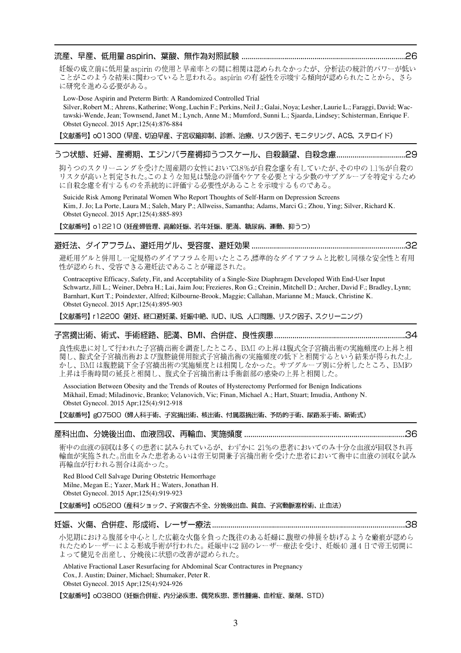## 

妊娠の成立前に低用量 aspirin の使用と早産率との間に相関は認められなかったが、分析法の統計的パワーが低い ことがこのような結果に関わっていると思われる。aspirin の有益性を示唆する傾向が認められたことから、さら に研究を進める必要がある。

Low-Dose Aspirin and Preterm Birth: A Randomized Controlled Trial

Silver, Robert M.; Ahrens, Katherine; Wong, Luchin F.; Perkins, Neil J.; Galai, Noya; Lesher, Laurie L.; Faraggi, David; Wactawski-Wende, Jean; Townsend, Janet M.; Lynch, Anne M.; Mumford, Sunni L.; Sjaarda, Lindsey; Schisterman, Enrique F. Obstet Gynecol. 2015 Apr;125(4):876-884

【文献番号】 o01300 (早産、切迫早産、子宮収縮抑制、診断、治療、リスク因子、モニタリング、ACS、ステロイド)

# 

抑うつのスクリーニングを受けた周産期の女性において3.8%が自殺念慮を有していたが、その中の1.1%が自殺の リスクが高いと判定された。このような知見は緊急の評価やケアを必要とする少数のサブグループを特定するため に自殺念慮を有するものを系統的に評価する必要性があることを示唆するものである。

Suicide Risk Among Perinatal Women Who Report Thoughts of Self-Harm on Depression Screens Kim, J. Jo; La Porte, Laura M.; Saleh, Mary P.; Allweiss, Samantha; Adams, Marci G.; Zhou, Ying; Silver, Richard K. Obstet Gynecol. 2015 Apr;125(4):885-893

【文献番号】 o12210 (妊産婦管理、高齢妊娠、若年妊娠、肥満、糖尿病、運動、抑うつ)

# 

避妊用ゲルと併用し一定規格のダイアフラムを用いたところ、標準的なダイアフラムと比較し同様な安全性と有用 性が認められ、受容できる避妊法であることが確認された。

Contraceptive Efficacy, Safety, Fit, and Acceptability of a Single-Size Diaphragm Developed With End-User Input Schwartz, Jill L.; Weiner, Debra H.; Lai, Jaim Jou; Frezieres, Ron G.; Creinin, Mitchell D.; Archer, David F.; Bradley, Lynn; Barnhart, Kurt T.; Poindexter, Alfred; Kilbourne-Brook, Maggie; Callahan, Marianne M.; Mauck, Christine K. Obstet Gynecol. 2015 Apr;125(4):895-903

【文献番号】 r12200 (避妊、経口避妊薬、妊娠中絶、IUD、IUS、人口問題、リスク因子、スクリーニング)

# 

良性疾患に対して行われた子宮摘出術を調査したところ、BMIの上昇は腹式全子宮摘出術の実施頻度の上昇と相 関し、腟式全子宮摘出術および腹腔鏡併用腟式子宮摘出術の実施頻度の低下と相関するという結果が得られた。し かし、BMIは腹腔鏡下全子宮摘出術の実施頻度とは相関しなかった。サブグループ別に分析したところ、BMIの 上昇は手術時間の延長と相関し、腹式全子宮摘出術は手術創部の感染の上昇と相関した。

Association Between Obesity and the Trends of Routes of Hysterectomy Performed for Benign Indications Mikhail, Emad; Miladinovic, Branko; Velanovich, Vic; Finan, Michael A.; Hart, Stuart; Imudia, Anthony N. Obstet Gynecol. 2015 Apr;125(4):912-918

【文献番号】gO7500 (婦人科手術、子宮摘出術、核出術、付属器摘出術、予防的手術、尿路系手術、新術式)

## 

術中の血液の回収は多くの患者に試みられているが、わずかに 21%の患者においてのみ十分な血液が回収され再 輸血が実施された。出血をみた患者あるいは帝王切開兼子宮摘出術を受けた患者において術中に血液の回収を試み 再輸血が行われる割合は高かった。

Red Blood Cell Salvage During Obstetric Hemorrhage Milne, Megan E.; Yazer, Mark H.; Waters, Jonathan H. Obstet Gynecol. 2015 Apr;125(4):919-923

【文献番号】 005200 (産科ショック、子宮復古不全、分娩後出血、貧血、子宮動脈塞栓術、止血法)

小児期における腹部を中心とした広範な火傷を負った既往のある妊婦に腹壁の伸展を妨げるような瘢痕が認めら れたためレーザーによる形成手術が行われた。妊娠中に2回のレーザー療法を受け、妊娠40週4日で帝王切開に よって健児を出産し、分娩後に状態の改善が認められた。

Ablative Fractional Laser Resurfacing for Abdominal Scar Contractures in Pregnancy Cox, J. Austin; Dainer, Michael; Shumaker, Peter R. Obstet Gynecol. 2015 Apr;125(4):924-926

【文献番号】 oO3800 (妊娠合併症、内分泌疾患、偶発疾患、悪性腫瘍、血栓症、薬剤、STD)